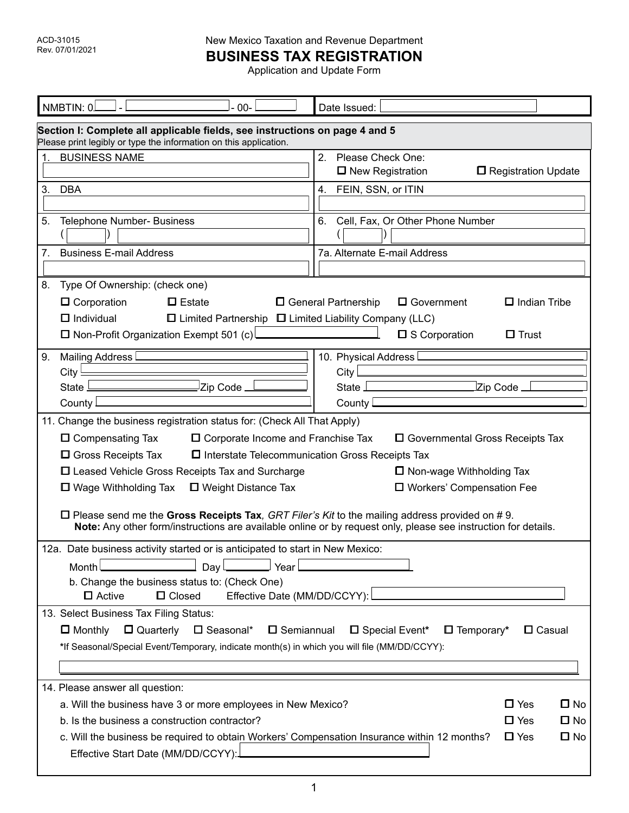**BUSINESS TAX REGISTRATION**

Application and Update Form

| NMBTIN: 0.<br>$00 -$                                                                                                                                                                                                                                                                                                                                                                                                                                                                                                                                                                                                                                                                    | Date Issued:                                                                                                            |  |  |  |  |  |  |  |
|-----------------------------------------------------------------------------------------------------------------------------------------------------------------------------------------------------------------------------------------------------------------------------------------------------------------------------------------------------------------------------------------------------------------------------------------------------------------------------------------------------------------------------------------------------------------------------------------------------------------------------------------------------------------------------------------|-------------------------------------------------------------------------------------------------------------------------|--|--|--|--|--|--|--|
| Section I: Complete all applicable fields, see instructions on page 4 and 5<br>Please print legibly or type the information on this application.                                                                                                                                                                                                                                                                                                                                                                                                                                                                                                                                        |                                                                                                                         |  |  |  |  |  |  |  |
| <b>BUSINESS NAME</b><br>1.                                                                                                                                                                                                                                                                                                                                                                                                                                                                                                                                                                                                                                                              | 2.<br>Please Check One:<br>□ New Registration<br>□ Registration Update                                                  |  |  |  |  |  |  |  |
| 3.<br><b>DBA</b>                                                                                                                                                                                                                                                                                                                                                                                                                                                                                                                                                                                                                                                                        | 4. FEIN, SSN, or ITIN                                                                                                   |  |  |  |  |  |  |  |
| 5.<br>Telephone Number- Business                                                                                                                                                                                                                                                                                                                                                                                                                                                                                                                                                                                                                                                        | Cell, Fax, Or Other Phone Number<br>6.                                                                                  |  |  |  |  |  |  |  |
| <b>Business E-mail Address</b><br>7.                                                                                                                                                                                                                                                                                                                                                                                                                                                                                                                                                                                                                                                    | 7a. Alternate E-mail Address                                                                                            |  |  |  |  |  |  |  |
| Type Of Ownership: (check one)<br>8.<br>$\Box$ Corporation<br>$\Box$ Estate<br>□ General Partnership<br>$\Box$ Government<br>$\Box$ Indian Tribe<br>$\Box$ Individual<br>$\Box$ Limited Partnership $\Box$ Limited Liability Company (LLC)<br>□ Non-Profit Organization Exempt 501 (c)<br>□ S Corporation<br>$\Box$ Trust                                                                                                                                                                                                                                                                                                                                                               |                                                                                                                         |  |  |  |  |  |  |  |
| Mailing Address<br>9.<br>City $\frac{1}{2}$<br>- Zip Code <u>- I</u><br>State <u>Les and the state of</u><br>County                                                                                                                                                                                                                                                                                                                                                                                                                                                                                                                                                                     | 10. Physical Address<br>$City$ <sub>___</sub><br>State I<br>$\operatorname{\mathsf{Zip}}$ Code $\_$<br>County $\square$ |  |  |  |  |  |  |  |
| 11. Change the business registration status for: (Check All That Apply)<br>$\Box$ Compensating Tax<br>$\Box$ Corporate Income and Franchise Tax<br>□ Governmental Gross Receipts Tax<br>$\Box$ Gross Receipts Tax<br>$\square$ Interstate Telecommunication Gross Receipts Tax<br>□ Leased Vehicle Gross Receipts Tax and Surcharge<br>$\Box$ Non-wage Withholding Tax<br>□ Weight Distance Tax<br>□ Workers' Compensation Fee<br>$\Box$ Wage Withholding Tax<br>$\Box$ Please send me the Gross Receipts Tax, GRT Filer's Kit to the mailing address provided on #9.<br>Note: Any other form/instructions are available online or by request only, please see instruction for details. |                                                                                                                         |  |  |  |  |  |  |  |
| 12a. Date business activity started or is anticipated to start in New Mexico:<br>Month<br>Day<br>Year<br>b. Change the business status to: (Check One)<br>Effective Date (MM/DD/CCYY):<br>$\Box$ Active<br>$\Box$ Closed                                                                                                                                                                                                                                                                                                                                                                                                                                                                |                                                                                                                         |  |  |  |  |  |  |  |
| 13. Select Business Tax Filing Status:<br>$\Box$ Quarterly $\Box$ Seasonal*<br>$\square$ Semiannual<br>$\Box$ Temporary*<br>$\Box$ Monthly<br>□ Special Event*<br>$\Box$ Casual<br>*If Seasonal/Special Event/Temporary, indicate month(s) in which you will file (MM/DD/CCYY):                                                                                                                                                                                                                                                                                                                                                                                                         |                                                                                                                         |  |  |  |  |  |  |  |
| 14. Please answer all question:<br>a. Will the business have 3 or more employees in New Mexico?<br>b. Is the business a construction contractor?<br>c. Will the business be required to obtain Workers' Compensation Insurance within 12 months?<br>Effective Start Date (MM/DD/CCYY):.                                                                                                                                                                                                                                                                                                                                                                                                 | $\square$ Yes<br>$\square$ No<br>$\square$ No<br>$\square$ Yes<br>$\Box$ Yes<br>$\square$ No                            |  |  |  |  |  |  |  |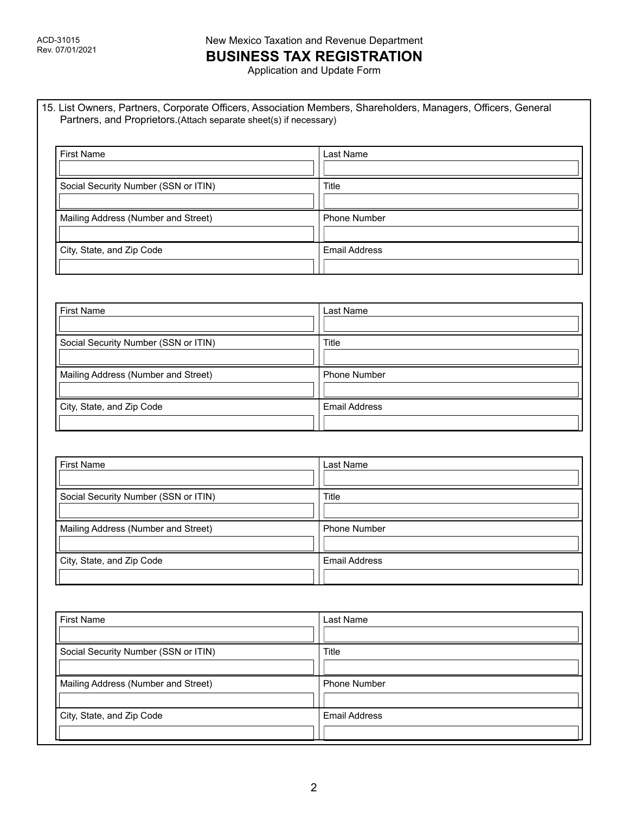# New Mexico Taxation and Revenue Department **BUSINESS TAX REGISTRATION**

Application and Update Form

15. List Owners, Partners, Corporate Officers, Association Members, Shareholders, Managers, Officers, General Partners, and Proprietors.(Attach separate sheet(s) if necessary)

| <b>First Name</b>                    | Last Name            |
|--------------------------------------|----------------------|
| Social Security Number (SSN or ITIN) | Title                |
| Mailing Address (Number and Street)  | <b>Phone Number</b>  |
| City, State, and Zip Code            | <b>Email Address</b> |

| <b>First Name</b>                    | Last Name            |
|--------------------------------------|----------------------|
| Social Security Number (SSN or ITIN) | Title                |
| Mailing Address (Number and Street)  | <b>Phone Number</b>  |
| City, State, and Zip Code            | <b>Email Address</b> |

| <b>First Name</b>                    | Last Name            |
|--------------------------------------|----------------------|
| Social Security Number (SSN or ITIN) | Title                |
| Mailing Address (Number and Street)  | <b>Phone Number</b>  |
| City, State, and Zip Code            | <b>Email Address</b> |

| <b>First Name</b>                    | Last Name            |
|--------------------------------------|----------------------|
| Social Security Number (SSN or ITIN) | Title                |
| Mailing Address (Number and Street)  | <b>Phone Number</b>  |
| City, State, and Zip Code            | <b>Email Address</b> |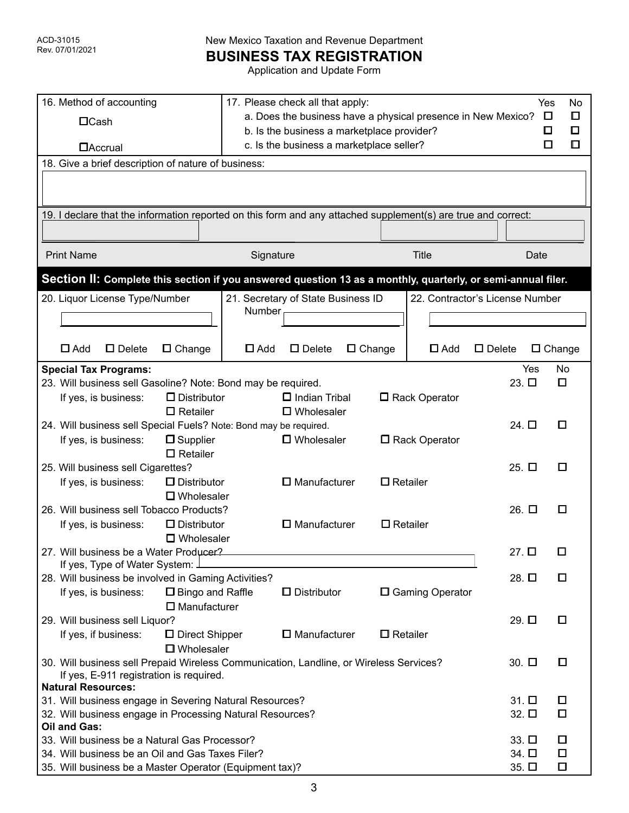**BUSINESS TAX REGISTRATION**

Application and Update Form

| 16. Method of accounting<br>$\Box$ Cash                                                                       |                                              | 17. Please check all that apply:<br>a. Does the business have a physical presence in New Mexico? |                                    |               |                 |                                 | Yes<br>O        | No<br>□       |        |
|---------------------------------------------------------------------------------------------------------------|----------------------------------------------|--------------------------------------------------------------------------------------------------|------------------------------------|---------------|-----------------|---------------------------------|-----------------|---------------|--------|
|                                                                                                               |                                              | b. Is the business a marketplace provider?                                                       |                                    |               |                 |                                 |                 | □             | ◘      |
| <b>DAccrual</b>                                                                                               |                                              | c. Is the business a marketplace seller?<br>О                                                    |                                    |               |                 |                                 | о               |               |        |
| 18. Give a brief description of nature of business:                                                           |                                              |                                                                                                  |                                    |               |                 |                                 |                 |               |        |
|                                                                                                               |                                              |                                                                                                  |                                    |               |                 |                                 |                 |               |        |
| 19. I declare that the information reported on this form and any attached supplement(s) are true and correct: |                                              |                                                                                                  |                                    |               |                 |                                 |                 |               |        |
| <b>Print Name</b>                                                                                             |                                              | Signature                                                                                        |                                    |               |                 | <b>Title</b>                    |                 | Date          |        |
| Section II: Complete this section if you answered question 13 as a monthly, quarterly, or semi-annual filer.  |                                              |                                                                                                  |                                    |               |                 |                                 |                 |               |        |
| 20. Liquor License Type/Number                                                                                |                                              |                                                                                                  | 21. Secretary of State Business ID |               |                 | 22. Contractor's License Number |                 |               |        |
|                                                                                                               |                                              | Number                                                                                           |                                    |               |                 |                                 |                 |               |        |
|                                                                                                               |                                              |                                                                                                  |                                    |               |                 |                                 |                 |               |        |
| $\Box$ Add<br>$\square$ Delete                                                                                | $\Box$ Change                                | $\Box$ Add                                                                                       | $\square$ Delete                   | $\Box$ Change |                 | $\Box$ Add                      | $\Box$ Delete   | $\Box$ Change |        |
| <b>Special Tax Programs:</b>                                                                                  |                                              |                                                                                                  |                                    |               |                 |                                 |                 | Yes           | No     |
| 23. Will business sell Gasoline? Note: Bond may be required.                                                  |                                              |                                                                                                  |                                    |               |                 |                                 | $23.$ $\square$ |               | $\Box$ |
| If yes, is business:                                                                                          | $\Box$ Distributor                           |                                                                                                  | $\Box$ Indian Tribal               |               |                 | □ Rack Operator                 |                 |               |        |
|                                                                                                               | $\Box$ Retailer                              |                                                                                                  | $\square$ Wholesaler               |               |                 |                                 |                 |               |        |
| 24. Will business sell Special Fuels? Note: Bond may be required.                                             |                                              |                                                                                                  |                                    |               |                 |                                 | 24. $\Box$      |               | □      |
| If yes, is business:                                                                                          | $\square$ Supplier<br>$\square$ Retailer     |                                                                                                  | <b>D</b> Wholesaler                |               |                 | □ Rack Operator                 |                 |               |        |
| 25. Will business sell Cigarettes?                                                                            |                                              |                                                                                                  |                                    |               |                 |                                 | $25.$ $\square$ |               | П      |
| If yes, is business:                                                                                          | $\Box$ Distributor                           | $\square$ Manufacturer<br>$\Box$ Retailer                                                        |                                    |               |                 |                                 |                 |               |        |
|                                                                                                               | $\square$ Wholesaler                         |                                                                                                  |                                    |               |                 |                                 |                 |               |        |
| 26. Will business sell Tobacco Products?                                                                      |                                              |                                                                                                  |                                    |               | 26. $\Box$      |                                 | □               |               |        |
| If yes, is business:                                                                                          | $\Box$ Distributor                           |                                                                                                  | $\square$ Manufacturer             |               | $\Box$ Retailer |                                 |                 |               |        |
|                                                                                                               | $\square$ Wholesaler                         |                                                                                                  |                                    |               |                 |                                 |                 |               |        |
| 27. Will business be a Water Producer?                                                                        |                                              |                                                                                                  |                                    |               |                 |                                 | 27. □           |               |        |
| If yes, Type of Water System: J                                                                               |                                              |                                                                                                  |                                    |               |                 |                                 |                 |               |        |
| 28. Will business be involved in Gaming Activities?                                                           |                                              |                                                                                                  |                                    |               |                 |                                 | 28. □           |               | □      |
| If yes, is business:                                                                                          | □ Bingo and Raffle<br>$\square$ Manufacturer |                                                                                                  | D Distributor                      |               |                 | □ Gaming Operator               |                 |               |        |
| 29. Will business sell Liquor?                                                                                |                                              |                                                                                                  |                                    |               |                 |                                 | 29. $\square$   |               | □      |
| If yes, if business:                                                                                          | □ Direct Shipper                             |                                                                                                  | $\square$ Manufacturer             |               | $\Box$ Retailer |                                 |                 |               |        |
|                                                                                                               | $\Box$ Wholesaler                            |                                                                                                  |                                    |               |                 |                                 |                 |               |        |
| 30. Will business sell Prepaid Wireless Communication, Landline, or Wireless Services?                        |                                              |                                                                                                  |                                    |               |                 |                                 | 30. $\square$   |               | □      |
| If yes, E-911 registration is required.                                                                       |                                              |                                                                                                  |                                    |               |                 |                                 |                 |               |        |
| <b>Natural Resources:</b>                                                                                     |                                              |                                                                                                  |                                    |               |                 |                                 |                 |               |        |
| 31. Will business engage in Severing Natural Resources?                                                       |                                              |                                                                                                  |                                    |               | $31.$ $\square$ |                                 | O               |               |        |
| 32. Will business engage in Processing Natural Resources?                                                     |                                              |                                                                                                  |                                    |               |                 | 32. 口                           |                 | $\Box$        |        |
| Oil and Gas:                                                                                                  |                                              |                                                                                                  |                                    |               |                 |                                 |                 |               |        |
| 33. Will business be a Natural Gas Processor?                                                                 |                                              |                                                                                                  |                                    |               | $33.$ $\square$ |                                 | O               |               |        |
| 34. Will business be an Oil and Gas Taxes Filer?                                                              |                                              |                                                                                                  |                                    |               |                 |                                 | 34. □           |               | $\Box$ |
| 35. Will business be a Master Operator (Equipment tax)?                                                       |                                              |                                                                                                  |                                    |               |                 |                                 | 35. $\Box$      |               | О      |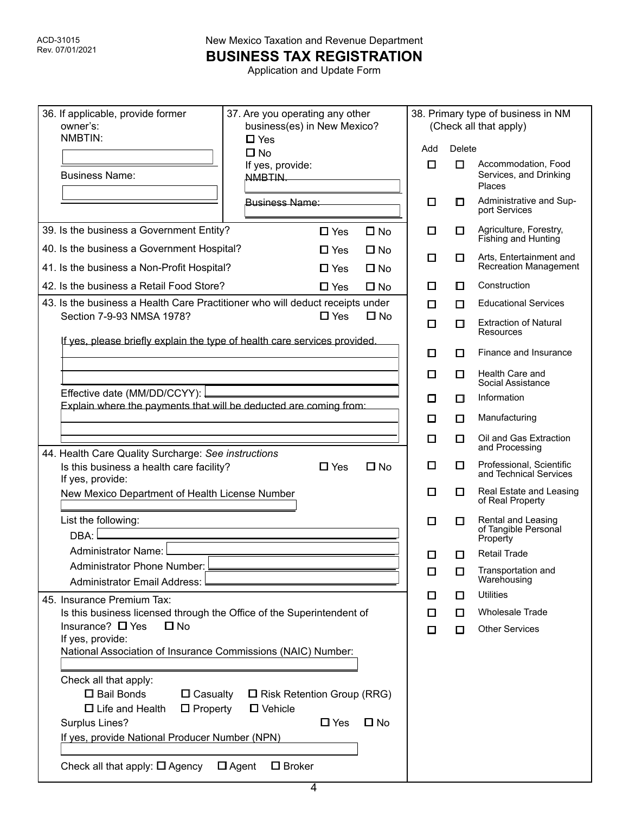**BUSINESS TAX REGISTRATION**

Application and Update Form

| 36. If applicable, provide former<br>owner's:<br>NMBTIN:                                                                                                                         | 37. Are you operating any other<br>business(es) in New Mexico? |                                                 |                           | 38. Primary type of business in NM<br>(Check all that apply) |        |                                                                |
|----------------------------------------------------------------------------------------------------------------------------------------------------------------------------------|----------------------------------------------------------------|-------------------------------------------------|---------------------------|--------------------------------------------------------------|--------|----------------------------------------------------------------|
|                                                                                                                                                                                  | $\Box$ Yes<br>$\square$ No                                     |                                                 |                           | Add                                                          | Delete |                                                                |
| <b>Business Name:</b>                                                                                                                                                            | If yes, provide:<br>NMBTIN.                                    |                                                 |                           | $\Box$                                                       | $\Box$ | Accommodation, Food<br>Services, and Drinking<br><b>Places</b> |
|                                                                                                                                                                                  | Business Name:                                                 |                                                 |                           | ◘                                                            | O      | Administrative and Sup-<br>port Services                       |
| 39. Is the business a Government Entity?                                                                                                                                         |                                                                | $\square$ Yes                                   | $\square$ No              | $\Box$                                                       | $\Box$ | Agriculture, Forestry,<br>Fishing and Hunting                  |
| 40. Is the business a Government Hospital?                                                                                                                                       |                                                                | $\Box$ Yes                                      | $\square$ No              | □                                                            | $\Box$ | Arts, Entertainment and<br><b>Recreation Management</b>        |
| 41. Is the business a Non-Profit Hospital?<br>42. Is the business a Retail Food Store?                                                                                           |                                                                | $\Box$ Yes<br>$\Box$ Yes                        | $\Box$ No<br>$\square$ No | П                                                            | О      | Construction                                                   |
| 43. Is the business a Health Care Practitioner who will deduct receipts under                                                                                                    |                                                                |                                                 |                           | ◘                                                            | □      | <b>Educational Services</b>                                    |
| Section 7-9-93 NMSA 1978?                                                                                                                                                        |                                                                | $\Box$ Yes                                      | $\Box$ No                 | о                                                            | $\Box$ | <b>Extraction of Natural</b><br>Resources                      |
| If yes, please briefly explain the type of health care services provided.                                                                                                        |                                                                |                                                 |                           | о                                                            | $\Box$ | Finance and Insurance                                          |
|                                                                                                                                                                                  |                                                                |                                                 |                           | □                                                            | ◘      | Health Care and<br>Social Assistance                           |
| Effective date (MM/DD/CCYY):                                                                                                                                                     |                                                                |                                                 |                           | П                                                            | $\Box$ | Information                                                    |
| Explain where the payments that will be deducted are coming from:                                                                                                                |                                                                |                                                 |                           | □                                                            | $\Box$ | Manufacturing                                                  |
|                                                                                                                                                                                  |                                                                |                                                 |                           | о                                                            | □      | Oil and Gas Extraction<br>and Processing                       |
| 44. Health Care Quality Surcharge: See instructions<br>Is this business a health care facility?<br>If yes, provide:                                                              |                                                                | $\Box$ Yes                                      | $\square$ No              | ◻                                                            | $\Box$ | Professional, Scientific<br>and Technical Services             |
| New Mexico Department of Health License Number                                                                                                                                   |                                                                |                                                 |                           | О                                                            | □      | Real Estate and Leasing<br>of Real Property                    |
| List the following:<br>DBA:                                                                                                                                                      |                                                                |                                                 |                           | □                                                            | ◘      | Rental and Leasing<br>of Tangible Personal<br>Property         |
| Administrator Name: L                                                                                                                                                            |                                                                |                                                 |                           | □                                                            | п      | <b>Retail Trade</b>                                            |
| Administrator Phone Number:<br><b>Administrator Email Address:</b>                                                                                                               |                                                                |                                                 |                           | $\Box$                                                       | ◻      | Transportation and<br>Warehousing                              |
| 45. Insurance Premium Tax:                                                                                                                                                       |                                                                |                                                 |                           | П                                                            | $\Box$ | <b>Utilities</b>                                               |
| Is this business licensed through the Office of the Superintendent of                                                                                                            |                                                                |                                                 |                           | ◘                                                            | $\Box$ | <b>Wholesale Trade</b>                                         |
| Insurance? $\Box$ Yes<br>$\square$ No                                                                                                                                            |                                                                |                                                 |                           | $\Box$                                                       | $\Box$ | <b>Other Services</b>                                          |
| If yes, provide:<br>National Association of Insurance Commissions (NAIC) Number:                                                                                                 |                                                                |                                                 |                           |                                                              |        |                                                                |
| Check all that apply:<br>□ Bail Bonds<br>$\Box$ Casualty<br>$\Box$ Life and Health<br>$\Box$ Property<br><b>Surplus Lines?</b><br>If yes, provide National Producer Number (NPN) | $\Box$ Vehicle                                                 | $\Box$ Risk Retention Group (RRG)<br>$\Box$ Yes | $\square$ No              |                                                              |        |                                                                |
| Check all that apply: $\Box$ Agency                                                                                                                                              | $\Box$ Agent<br>$\square$ Broker                               |                                                 |                           |                                                              |        |                                                                |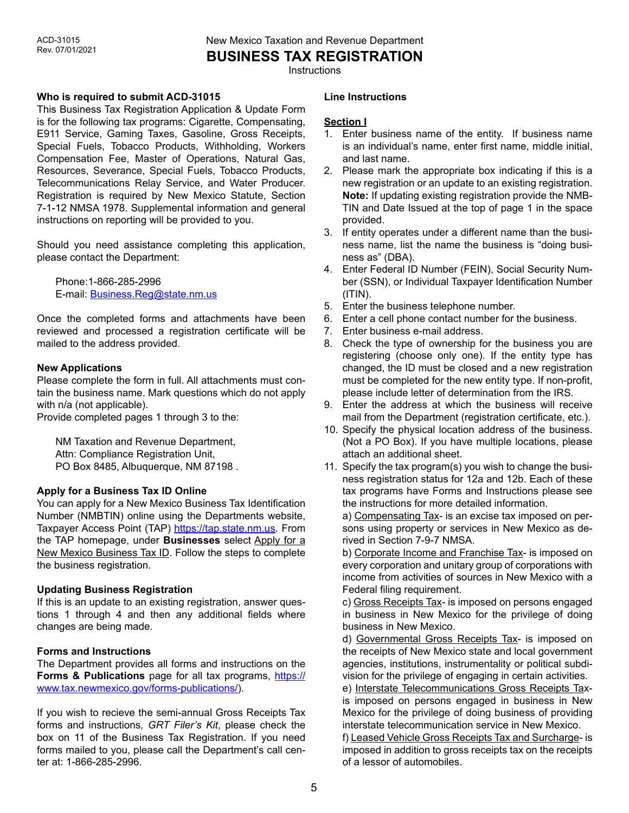**BUSINESS TAX REGISTRATION**

**Instructions** 

### **Who is required to submit ACD-31015**

This Business Tax Registration Application & Update Form is for the following tax programs: Cigarette, Compensating, E911 Service, Gaming Taxes, Gasoline, Gross Receipts, Special Fuels, Tobacco Products, Withholding, Workers Compensation Fee, Master of Operations, Natural Gas, Resources, Severance, Special Fuels, Tobacco Products, Telecommunications Relay Service, and Water Producer. Registration is required by New Mexico Statute, Section 7-1-12 NMSA 1978. Supplemental information and general instructions on reporting will be provided to you.

Should you need assistance completing this application, please contact the Department:

Phone:1-866-285-2996 E-mail: [Business.Reg@state.nm.us](mailto:Business.Reg@state.nm.us)

Once the completed forms and attachments have been reviewed and processed a registration certificate will be mailed to the address provided.

### **New Applications**

Please complete the form in full. All attachments must contain the business name. Mark questions which do not apply with n/a (not applicable).

Provide completed pages 1 through 3 to the:

NM Taxation and Revenue Department, Attn: Compliance Registration Unit, PO Box 8485, Albuquerque, NM 87198 .

### **Apply for a Business Tax ID Online**

You can apply for a New Mexico Business Tax Identification Number (NMBTIN) online using the Departments website, Taxpayer Access Point (TAP) <https://tap.state.nm.us>. From the TAP homepage, under **Businesses** select Apply for a New Mexico Business Tax ID. Follow the steps to complete the business registration.

### **Updating Business Registration**

If this is an update to an existing registration, answer questions 1 through 4 and then any additional fields where changes are being made.

# **Forms and Instructions**

The Department provides all forms and instructions on the **Forms & Publications** page for all tax programs, [https://](https://www.tax.newmexico.gov/forms-publications/) [www.tax.newmexico.gov/forms-publications/\)](https://www.tax.newmexico.gov/forms-publications/).

If you wish to recieve the semi-annual Gross Receipts Tax forms and instructions*, GRT Filer's Kit*, please check the box on 11 of the Business Tax Registration. If you need forms mailed to you, please call the Department's call center at: 1-866-285-2996.

#### **Line Instructions**

### **Section I**

- 1. Enter business name of the entity. If business name is an individual's name, enter first name, middle initial, and last name.
- 2. Please mark the appropriate box indicating if this is a new registration or an update to an existing registration. **Note:** If updating existing registration provide the NMB-TIN and Date Issued at the top of page 1 in the space provided.
- 3. If entity operates under a different name than the business name, list the name the business is "doing business as" (DBA).
- 4. Enter Federal ID Number (FEIN), Social Security Number (SSN), or Individual Taxpayer Identification Number (ITIN).
- 5. Enter the business telephone number.
- 6. Enter a cell phone contact number for the business.
- 7. Enter business e-mail address.
- 8. Check the type of ownership for the business you are registering (choose only one). If the entity type has changed, the ID must be closed and a new registration must be completed for the new entity type. If non-profit, please include letter of determination from the IRS.
- 9. Enter the address at which the business will receive mail from the Department (registration certificate, etc.).
- 10. Specify the physical location address of the business. (Not a PO Box). If you have multiple locations, please attach an additional sheet.
- 11. Specify the tax program(s) you wish to change the business registration status for 12a and 12b. Each of these tax programs have Forms and Instructions please see the instructions for more detailed information.

a) Compensating Tax- is an excise tax imposed on persons using property or services in New Mexico as derived in Section 7-9-7 NMSA.

b) Corporate Income and Franchise Tax- is imposed on every corporation and unitary group of corporations with income from activities of sources in New Mexico with a Federal filing requirement.

c) Gross Receipts Tax- is imposed on persons engaged in business in New Mexico for the privilege of doing business in New Mexico.

d) Governmental Gross Receipts Tax- is imposed on the receipts of New Mexico state and local government agencies, institutions, instrumentality or political subdivision for the privilege of engaging in certain activities.

e) Interstate Telecommunications Gross Receipts Taxis imposed on persons engaged in business in New Mexico for the privilege of doing business of providing interstate telecommunication service in New Mexico.

f) Leased Vehicle Gross Receipts Tax and Surcharge- is imposed in addition to gross receipts tax on the receipts of a lessor of automobiles.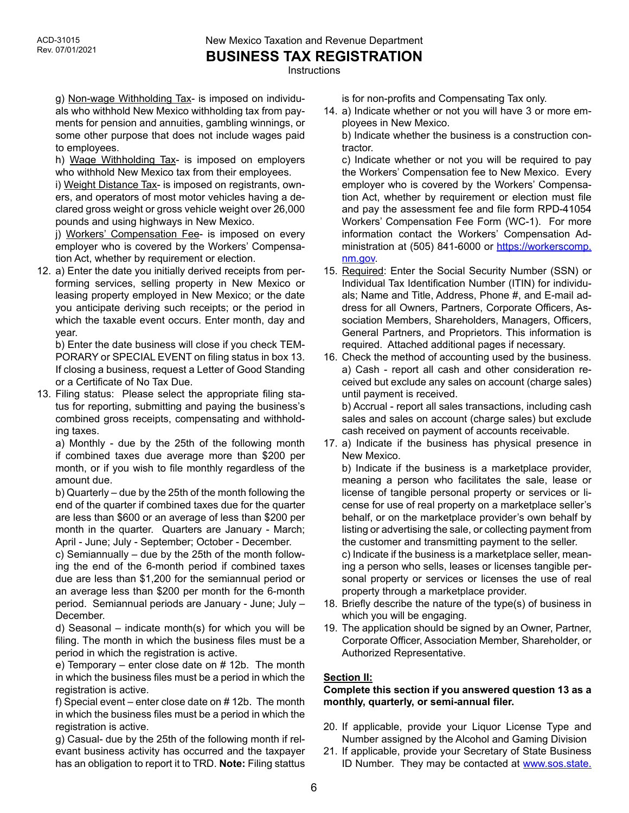New Mexico Taxation and Revenue Department **BUSINESS TAX REGISTRATION**

**Instructions** 

g) Non-wage Withholding Tax- is imposed on individuals who withhold New Mexico withholding tax from payments for pension and annuities, gambling winnings, or some other purpose that does not include wages paid to employees.

h) Wage Withholding Tax- is imposed on employers who withhold New Mexico tax from their employees.

i) Weight Distance Tax- is imposed on registrants, owners, and operators of most motor vehicles having a declared gross weight or gross vehicle weight over 26,000 pounds and using highways in New Mexico.

j) Workers' Compensation Fee- is imposed on every employer who is covered by the Workers' Compensation Act, whether by requirement or election.

12. a) Enter the date you initially derived receipts from performing services, selling property in New Mexico or leasing property employed in New Mexico; or the date you anticipate deriving such receipts; or the period in which the taxable event occurs. Enter month, day and year.

b) Enter the date business will close if you check TEM-PORARY or SPECIAL EVENT on filing status in box 13. If closing a business, request a Letter of Good Standing or a Certificate of No Tax Due.

13. Filing status: Please select the appropriate filing status for reporting, submitting and paying the business's combined gross receipts, compensating and withholding taxes.

a) Monthly - due by the 25th of the following month if combined taxes due average more than \$200 per month, or if you wish to file monthly regardless of the amount due.

b) Quarterly – due by the 25th of the month following the end of the quarter if combined taxes due for the quarter are less than \$600 or an average of less than \$200 per month in the quarter. Quarters are January - March; April - June; July - September; October - December.

c) Semiannually – due by the 25th of the month following the end of the 6-month period if combined taxes due are less than \$1,200 for the semiannual period or an average less than \$200 per month for the 6-month period. Semiannual periods are January - June; July – December.

d) Seasonal – indicate month(s) for which you will be filing. The month in which the business files must be a period in which the registration is active.

e) Temporary – enter close date on # 12b. The month in which the business files must be a period in which the registration is active.

f) Special event – enter close date on # 12b. The month in which the business files must be a period in which the registration is active.

g) Casual- due by the 25th of the following month if relevant business activity has occurred and the taxpayer has an obligation to report it to TRD. **Note:** Filing stattus is for non-profits and Compensating Tax only.

14. a) Indicate whether or not you will have 3 or more employees in New Mexico.

b) Indicate whether the business is a construction contractor.

c) Indicate whether or not you will be required to pay the Workers' Compensation fee to New Mexico. Every employer who is covered by the Workers' Compensation Act, whether by requirement or election must file and pay the assessment fee and file form RPD-41054 Workers' Compensation Fee Form (WC-1). For more information contact the Workers' Compensation Administration at (505) 841-6000 or [https://workerscomp.](https://workerscomp.nm.gov) [nm.gov](https://workerscomp.nm.gov).

- 15. Required: Enter the Social Security Number (SSN) or Individual Tax Identification Number (ITIN) for individuals; Name and Title, Address, Phone #, and E-mail address for all Owners, Partners, Corporate Officers, Association Members, Shareholders, Managers, Officers, General Partners, and Proprietors. This information is required. Attached additional pages if necessary.
- 16. Check the method of accounting used by the business. a) Cash - report all cash and other consideration received but exclude any sales on account (charge sales) until payment is received.

b) Accrual - report all sales transactions, including cash sales and sales on account (charge sales) but exclude cash received on payment of accounts receivable.

17. a) Indicate if the business has physical presence in New Mexico.

b) Indicate if the business is a marketplace provider, meaning a person who facilitates the sale, lease or license of tangible personal property or services or license for use of real property on a marketplace seller's behalf, or on the marketplace provider's own behalf by listing or advertising the sale, or collecting payment from the customer and transmitting payment to the seller. c) Indicate if the business is a marketplace seller, meaning a person who sells, leases or licenses tangible personal property or services or licenses the use of real property through a marketplace provider.

- 18. Briefly describe the nature of the type(s) of business in which you will be engaging.
- 19. The application should be signed by an Owner, Partner, Corporate Officer, Association Member, Shareholder, or Authorized Representative.

# **Section II:**

# **Complete this section if you answered question 13 as a monthly, quarterly, or semi-annual filer.**

- 20. If applicable, provide your Liquor License Type and Number assigned by the Alcohol and Gaming Division
- 21. If applicable, provide your Secretary of State Business ID Number. They may be contacted at [www.sos.state.](http://www.sos.state.nm.us)